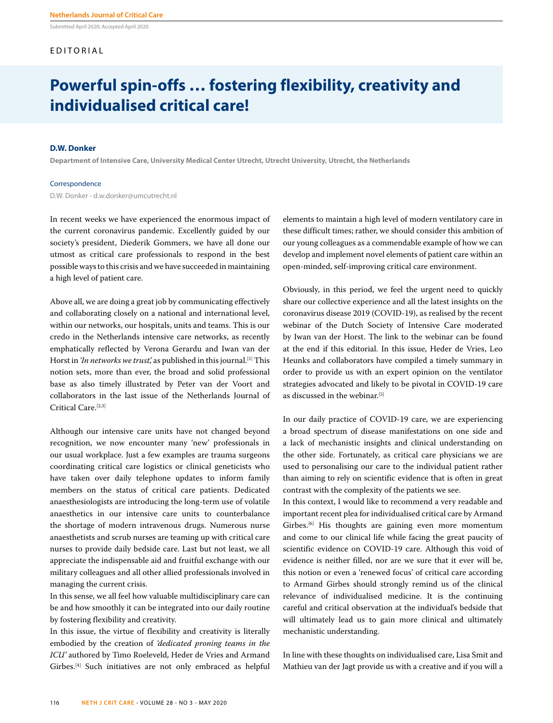Submitted April 2020; Accepted April 2020

## EDITORIAL

# **Powerful spin-offs … fostering flexibility, creativity and individualised critical care!**

### **D.W. Donker**

**Department of Intensive Care, University Medical Center Utrecht, Utrecht University, Utrecht, the Netherlands**

#### Correspondence

D.W. Donker - d.w.donker@umcutrecht.nl

In recent weeks we have experienced the enormous impact of the current coronavirus pandemic. Excellently guided by our society's president, Diederik Gommers, we have all done our utmost as critical care professionals to respond in the best possible ways to this crisis and we have succeeded in maintaining a high level of patient care.

Above all, we are doing a great job by communicating effectively and collaborating closely on a national and international level, within our networks, our hospitals, units and teams. This is our credo in the Netherlands intensive care networks, as recently emphatically reflected by Verona Gerardu and Iwan van der Horst in *'In networks we trust'*, as published in this journal.<sup>[1]</sup> This notion sets, more than ever, the broad and solid professional base as also timely illustrated by Peter van der Voort and collaborators in the last issue of the Netherlands Journal of Critical Care.<sup>[2,3]</sup>

Although our intensive care units have not changed beyond recognition, we now encounter many 'new' professionals in our usual workplace. Just a few examples are trauma surgeons coordinating critical care logistics or clinical geneticists who have taken over daily telephone updates to inform family members on the status of critical care patients. Dedicated anaesthesiologists are introducing the long-term use of volatile anaesthetics in our intensive care units to counterbalance the shortage of modern intravenous drugs. Numerous nurse anaesthetists and scrub nurses are teaming up with critical care nurses to provide daily bedside care. Last but not least, we all appreciate the indispensable aid and fruitful exchange with our military colleagues and all other allied professionals involved in managing the current crisis.

In this sense, we all feel how valuable multidisciplinary care can be and how smoothly it can be integrated into our daily routine by fostering flexibility and creativity.

In this issue, the virtue of flexibility and creativity is literally embodied by the creation of *'dedicated proning teams in the ICU'* authored by Timo Roeleveld, Heder de Vries and Armand Girbes.[4] Such initiatives are not only embraced as helpful elements to maintain a high level of modern ventilatory care in these difficult times; rather, we should consider this ambition of our young colleagues as a commendable example of how we can develop and implement novel elements of patient care within an open-minded, self-improving critical care environment.

Obviously, in this period, we feel the urgent need to quickly share our collective experience and all the latest insights on the coronavirus disease 2019 (COVID-19), as realised by the recent webinar of the Dutch Society of Intensive Care moderated by Iwan van der Horst. The link to the webinar can be found at the end if this editorial. In this issue, Heder de Vries, Leo Heunks and collaborators have compiled a timely summary in order to provide us with an expert opinion on the ventilator strategies advocated and likely to be pivotal in COVID-19 care as discussed in the webinar.<sup>[5]</sup>

In our daily practice of COVID-19 care, we are experiencing a broad spectrum of disease manifestations on one side and a lack of mechanistic insights and clinical understanding on the other side. Fortunately, as critical care physicians we are used to personalising our care to the individual patient rather than aiming to rely on scientific evidence that is often in great contrast with the complexity of the patients we see.

In this context, I would like to recommend a very readable and important recent plea for individualised critical care by Armand Girbes.<sup>[6]</sup> His thoughts are gaining even more momentum and come to our clinical life while facing the great paucity of scientific evidence on COVID-19 care. Although this void of evidence is neither filled, nor are we sure that it ever will be, this notion or even a 'renewed focus' of critical care according to Armand Girbes should strongly remind us of the clinical relevance of individualised medicine. It is the continuing careful and critical observation at the individual's bedside that will ultimately lead us to gain more clinical and ultimately mechanistic understanding.

In line with these thoughts on individualised care, Lisa Smit and Mathieu van der Jagt provide us with a creative and if you will a